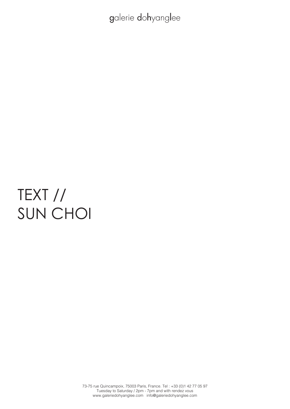# TEXT // SUN CHOI

73-75 rue Quincampoix, 75003 Paris, France. Tel : +33 (0)1 42 77 05 97 Tuesday to Saturday / 2pm - 7pm and with rendez vous www.galeriedohyanglee.com info@galeriedohyanglee.com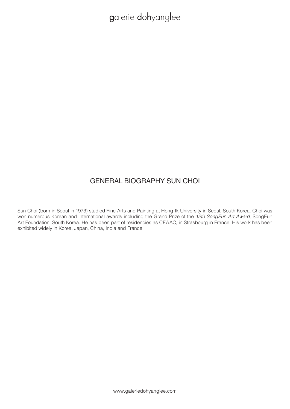### GENERAL BIOGRAPHY SUN CHOI

Sun Choi (born in Seoul in 1973) studied Fine Arts and Painting at Hong-Ik University in Seoul, South Korea. Choi was won numerous Korean and international awards including the Grand Prize of the *12th SongEun Art Award*, SongEun Art Foundation, South Korea. He has been part of residencies as CEAAC, in Strasbourg in France. His work has been exhibited widely in Korea, Japan, China, India and France.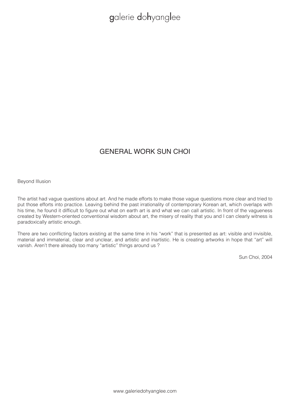### GENERAL WORK SUN CHOI

Beyond Illusion

The artist had vague questions about art. And he made efforts to make those vague questions more clear and tried to put those efforts into practice. Leaving behind the past irrationality of contemporary Korean art, which overlaps with his time, he found it difficult to figure out what on earth art is and what we can call artistic. In front of the vagueness created by Western-oriented conventional wisdom about art, the misery of reality that you and I can clearly witness is paradoxically artistic enough.

There are two conflicting factors existing at the same time in his "work" that is presented as art: visible and invisible, material and immaterial, clear and unclear, and artistic and inartistic. He is creating artworks in hope that "art" will vanish. Aren't there already too many "artistic" things around us ?

Sun Choi, 2004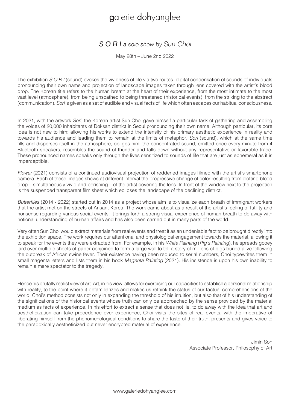### S O R I a solo show by Sun Choi

May 28th – June 2nd 2022

The exhibition *S O R I* (sound) evokes the vividness of life via two routes: digital condensation of sounds of individuals pronouncing their own name and projection of landscape images taken through lens covered with the artist's blood drop. The Korean title refers to the human breath at the heart of their experience, from the most intimate to the most vast level (atmosphere), from being unscathed to being threatened (historical events), from the striking to the abstract (communication). *Sori* is given as a set of audible and visual facts of life which often escapes our habitual consciousness.

In 2021, with the artwork *Sori*, the Korean artist Sun Choi gave himself a particular task of gathering and assembling the voices of 20,000 inhabitants of Doksan district in Seoul pronouncing their own name. Although particular, its core idea is not new to him: allowing his works to extend the intensity of his primary aesthetic experience in reality and towards his audience and leading them to remain at the limits of metaphor. *Sori* (sound), which at the same time fills and disperses itself in the atmosphere, obliges him: the concentrated sound, emitted once every minute from 4 Bluetooth speakers, resembles the sound of thunder and falls down without any representative or favorable trace. These pronounced names speaks only through the lives sensitized to sounds of life that are just as ephemeral as it is imperceptible.

*Flower* (2021) consists of a continued audiovisual projection of reddened images filmed with the artist's smartphone camera. Each of these images shows at different interval the progressive change of color resulting from clotting blood drop – simultaneously vivid and perishing – of the artist covering the lens. In front of the window next to the projection is the suspended transparent film sheet which eclipses the landscape of the declining district.

Butterflies (2014 - 2022) started out in 2014 as a project whose aim is to visualize each breath of immigrant workers that the artist met on the streets of Ansan, Korea. The work came about as a result of the artist's feeling of futility and nonsense regarding various social events. It brings forth a strong visual experience of human breath to do away with notional understanding of human affairs and has also been carried out in many parts of the world.

Very often Sun Choi would extract materials from real events and treat it as an undeniable fact to be brought directly into the exhibition space. The work requires our attentional and physiological engagement towards the material, allowing it to speak for the events they were extracted from. For example, in his *White Painting* (Pig's Painting), he spreads gooey lard over multiple sheets of paper conjoined to form a large wall to tell a story of millions of pigs buried alive following the outbreak of African swine fever. Their existence having been reduced to serial numbers, Choi typewrites them in small magenta letters and lists them in his book *Magenta Painting* (2021). His insistence is upon his own inability to remain a mere spectator to the tragedy.

Hence his brutally realist view of art. Art, in his view, allows for exercising our capacities to establish a personal relationship with reality, to the point where it defamiliarizes and makes us rethink the status of our factual comprehensions of the world. Choi's method consists not only in expanding the threshold of his intuition, but also that of his understanding of the significations of the historical events whose truth can only be approached by the sense provided by the material medium as facts of experience. In his effort to extract a sense that does not lie, to do away with the idea that art and aestheticization can take precedence over experience, Choi visits the sites of real events, with the imperative of liberating himself from the phenomenological conditions to share the taste of their truth, presents and gives voice to the paradoxically aestheticized but never encrypted material of experience.

> Jimin Son Associate Professor, Philosophy of Art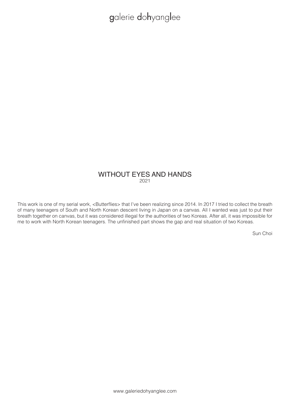#### WITHOUT EYES AND HANDS 2021

This work is one of my serial work, <Butterflies> that I've been realizing since 2014. In 2017 I tried to collect the breath of many teenagers of South and North Korean descent living in Japan on a canvas. All I wanted was just to put their breath together on canvas, but it was considered illegal for the authorities of two Koreas. After all, it was impossible for me to work with North Korean teenagers. The unfinished part shows the gap and real situation of two Koreas.

Sun Choi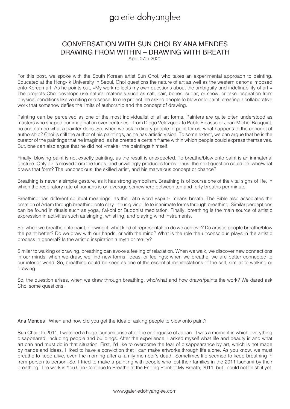### CONVERSATION WITH SUN CHOI BY ANA MENDES DRAWING FROM WITHIN – DRAWING WITH BREATH

April 07th 2020

For this post, we spoke with the South Korean artist Sun Choi, who takes an experimental approach to painting. Educated at the Hong-Ik University in Seoul, Choi questions the nature of art as well as the western canons imposed onto Korean art. As he points out, »My work reflects my own questions about the ambiguity and indefinability of art.« The projects Choi develops use natural materials such as salt, hair, bones, sugar, or snow, or take inspiration from physical conditions like vomiting or disease. In one project, he asked people to blow onto paint, creating a collaborative work that somehow defies the limits of authorship and the concept of drawing.

Painting can be perceived as one of the most individualist of all art forms. Painters are quite often understood as masters who shaped our imagination over centuries – from Diego Velázquez to Pablo Picasso or Jean-Michel Basquiat, no one can do what a painter does. So, when we ask ordinary people to paint for us, what happens to the concept of authorship? Choi is still the author of his paintings, as he has artistic vision. To some extent, we can argue that he is the curator of the paintings that he imagined, as he created a certain frame within which people could express themselves. But, one can also argue that he did not »make« the paintings himself.

Finally, blowing paint is not exactly painting, as the result is unexpected. To breathe/blow onto paint is an immaterial gesture. Only air is moved from the lungs, and unwillingly produces forms. Thus, the next question could be: who/what draws that form? The unconscious, the skilled artist, and his marvelous concept or chance?

Breathing is never a simple gesture, as it has strong symbolism. Breathing is of course one of the vital signs of life, in which the respiratory rate of humans is on average somewhere between ten and forty breaths per minute.

Breathing has different spiritual meanings, as the Latin word »spirit« means breath. The Bible also associates the creation of Adam through breathing onto clay – thus giving life to inanimate forms through breathing. Similar perceptions can be found in rituals such as yoga, t'ai-chi or Buddhist meditation. Finally, breathing is the main source of artistic expression in activities such as singing, whistling, and playing wind instruments.

So, when we breathe onto paint, blowing it, what kind of representation do we achieve? Do artistic people breathe/blow the paint better? Do we draw with our hands, or with the mind? What is the role the unconscious plays in the artistic process in general? Is the artistic inspiration a myth or reality?

Similar to walking or drawing, breathing can evoke a feeling of relaxation. When we walk, we discover new connections in our minds; when we draw, we find new forms, ideas, or feelings; when we breathe, we are better connected to our interior world. So, breathing could be seen as one of the essential manifestations of the self, similar to walking or drawing.

So, the question arises, when we draw through breathing, who/what and how draws/paints the work? We dared ask Choi some questions.

Ana Mendes : When and how did you get the idea of asking people to blow onto paint?

Sun Choi : In 2011, I watched a huge tsunami arise after the earthquake of Japan. It was a moment in which everything disappeared, including people and buildings. After the experience, I asked myself what life and beauty is and what art can and must do in that situation. First, I'd like to overcome the fear of disappearance by art, which is not made by hands and ideas. I liked to have a conviction that I can make artworks through life alone. As you know, we must breathe to keep alive, even the morning after a family member's death. Sometimes life seemed to keep breathing in from person to person. So, I tried to make a painting with people who lost their families in the 2011 tsunami by their breathing. The work is You Can Continue to Breathe at the Ending Point of My Breath, 2011, but I could not finish it yet.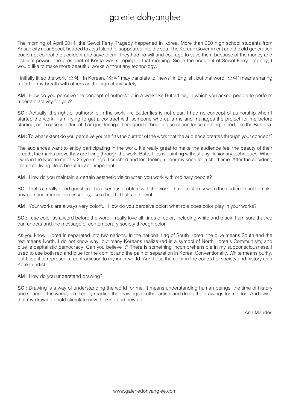The morning of April 2014, the Sewol Ferry Tragedy happened in Korea. More than 300 high school students from Ansan city near Seoul, headed to Jeju Island, disappeared into the sea. The Korean Government and the old generation could not control the accident and save them. They had no will and courage to save them because of the money and political power. The president of Korea was sleeping in that morning. Since the accident of Sewol Ferry Tragedy, I would like to make more beautiful works without any technology.

I initially titled the work "소식". In Korean, "소식" may translate to "news" in English, but that word "소식" means sharing a part of my breath with others as the sign of my safety.

AM : How do you perceive the concept of authorship in a work like Butterflies, in which you asked people to perform a certain activity for you?

SC : Actually, the right of authorship in the work like Butterflies is not clear. I had no concept of authorship when I started the work. I am trying to get a contract with someone who calls me and manages the project for me before starting, each case is different. I am just trying it. I am good at begging someone for something I need, like the Buddha.

AM : To what extent do you perceive yourself as the curator of the work that the audience creates through your concept?

The audiences want to enjoy participating in the work. It's really great to make the audience feel the beauty of their breath, the marks prove they are living through the work. Butterflies is painting without any illusionary techniques. When I was in the Korean military 25 years ago. I crashed and lost feeling under my knee for a short time. After the accident, I realized living life is beautiful and important.

AM : How do you maintain a certain aesthetic vision when you work with ordinary people?

SC : That's a really good question. It is a serious problem with the work. I have to sternly warn the audience not to make any personal marks or messages, like a heart. That's the point.

AM : Your works are always very colorful. How do you perceive color; what role does color play in your works?

SC : I use color as a word before the word. I really love all kinds of color, including white and black. I am sure that we can understand the message of contemporary society through color.

As you know, Korea is separated into two nations. In the national flag of South Korea, the blue means South and the red means North. I do not know why, but many Koreans realize red is a symbol of North Korea's Communism; and blue is capitalistic democracy. Can you believe it? There is something incomprehensible in my subconsciousness. I used to use both red and blue for the conflict and the pain of separation in Korea. Conventionally, White means purity, but I use it to represent a contradiction to my inner world. And I use the color in the context of society and history as a Korean artist.

AM : How do you understand drawing?

SC : Drawing is a way of understanding the world for me. It means understanding human beings, the time of history and space of the world, too. I enjoy reading the drawings of other artists and doing the drawings for me, too. And I wish that my drawing could stimulate new thinking and new art.

Ana Mendes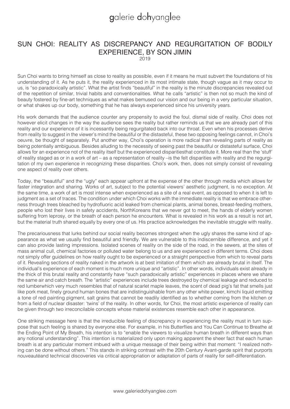#### SUN CHOI: REALITY AS DISCREPANCY AND REGURGITATION OF BODILY EXPERIENCE, BY SON JIMIN  $2019$

Sun Choi wants to bring himself as close to reality as possible, even if it means he must subvert the foundations of his understanding of it. As he puts it, the reality experienced in its most intimate state, though vague as it may occur to us, is "so paradoxically artistic". What the artist finds "beautiful" in the reality is the minute discrepancies revealed out of the repetition of similar, trivial habits and conventionalities. What he calls "artistic" is then not so much the kind of beauty fostered by fine-art techniques as what makes bemused our vision and our being in a very particular situation, or what shakes up our body, something that he has always experienced since his university years.

His work demands that the audience counter any propensity to avoid the foul, dismal side of reality. Choi does not however elicit changes in the way the audience sees the reality but rather reminds us that we are already part of this reality and our experience of it is incessantly being regurgitated back into our throat. Even when his processes derive from reality to suggest in the viewer's mind the beautiful or the distasteful, these two opposing feelings cannot, in Choi's oeuvre, be thought of separately. Put another way, Choi's operation is more radical than revealing parts of reality as being potentially ambiguous. Besides alluding to the necessity of seeing past the beautiful or distasteful surface, Choi allows for an experience not of the reality itself but the experienced disparitiesthat constitute it. More real than the 'stuff' of reality staged as or in a work of art – as a representation of reality –is the felt disparities with reality and the regurgitation of my own experience in recognizing these disparities. Choi's work, then, does not simply consist of revealing one aspect of reality over others.

Today, the "beautiful" and the "ugly" each appear upfront at the expense of the other through media which allows for faster integration and sharing. Works of art, subject to the potential viewers' aesthetic judgment, is no exception. At the same time, a work of art is most intense when experienced as a site of a real event, as opposed to when it is left to judgment as a set of traces. The condition under which Choi works with the immediate reality is that we embrace otherness through trees bleached by hydrofluoric acid leaked from chemical plants, animal bones, breast-feeding mothers, people who lost their lives in safety accidents, NorthKoreans that we never got to meet, the hands of elderly women suffering from leprosy, or the breath of each person he encounters. What is revealed in his work as a result is not art, but the material truth shared equally by every one of us. His practice acknowledges the inevitable struggle with reality.

The precariousness that lurks behind our social reality becomes strongest when the ugly shares the same kind of appearance as what we usually find beautiful and friendly. We are vulnerable to this indiscernible difference, and yet it can also provide lasting impressions. Isolated scenes of reality on the side of the road, in the sewers, at the sites of mass animal cull, chemical factories or polluted water belong to us and are experienced in different terms. Choi does not simply offer guidelines on how reality ought to be experienced or a straight perspective from which to reveal parts of it. Revealing sections of reality naked in the artwork is at best imitation of them which are already brutal in itself. The individual's experience of each moment is much more unique and "artistic". In other words, individuals exist already in the thick of this brutal reality and constantly have "such paradoxically artistic" experiences in places where we share the same air and catch breath. The "artistic" experiences include trees destroyed by chemical leakage and reduced to red lumberwhich very much resembles that of natural scarlet maple leaves, the scent of dead pig's fat that smells just like pork meat, finely ground human bones that are indistinguishable from any other white power, kimchi liquid emitting a tone of red painting pigment, salt grains that cannot be readily identified as to whether coming from the kitchen or from a field of nuclear disaster: 'twins' of the reality. In other words, for Choi, the most artistic experience of reality can be given through two irreconcilable concepts whose material existences resemble each other in appearance.

One striking message here is that the irreducible feeling of discrepancy in experiencing the reality must in turn suppose that such feeling is shared by everyone else. For example, in his Butterflies and You Can Continue to Breathe at the Ending Point of My Breath, his intention is to "enable the viewers to visualize human breath in different ways than any notional understanding". This intention is materialized only upon making apparent the sheer fact that each human breath is at any particular moment imbued with a unique message of their being within that moment: "I realized nothing can be done without others." This stands in striking contrast with the 20th Century Avant-garde spirit that purports nouveautéand technical discoveries via critical appropriation or adaptation of parts of reality for self-differentiation.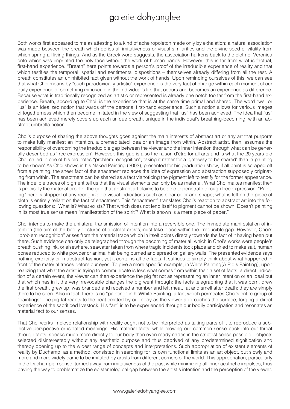Both works first appeared to me as attesting to a kind of acheiropoieton made only by exhalation: a natural association was made between the breath which defies all imitativeness or visual similarities and the divine seed of vitality from which spring all living things. And as the Greek word suggests, the association harkens back to the cloth of Veronica onto which was imprinted the holy face without the work of human hands. However, this is far from what is factual, first-hand experience. "Breath" here points towards a person's proof of the irreducible experience of reality and that which testifies the temporal, spatial and sentimental dispositions – themselves already differing from all the rest. A breath constitutes an uninhibited fact given without the work of hands. Upon reminding ourselves of this, we can see that what Choi means by "such paradoxically artistic" experience is the very fact of change within each moment of our daily experience or something minuscule in the individual's life that occurs and becomes an experience as difference. Because what is traditionally recognized as artistic or represented is already one notch too far from the first-hand experience. Breath, according to Choi, is the experience that is at the same time primal and shared. The word "we" or "us" is an idealized notion that wards off the personal first-hand experience. Such a notion allows for various images of togetherness which then become imitated in the view of suggesting that "us" has been achieved. The idea that "us" has been achieved merely covers up each unique breath, unique in the individual's breathing-becoming, with an abstract umbrella notion.

Choi's purpose of sharing the above thoughts goes against the main interests of abstract art or any art that purports to make fully manifest an intention, a premeditated idea or an image from within. Abstract artist, then, assumes the responsibility of overcoming the irreducible gap between the viewer and the inner intention through what can be generally described as 'free expression'. However, this gap is also the raison d'être for all arts and is what the 20 years-old Choi called in one of his old notes "problem recognition", taking it rather for a 'gateway to be shared' than 'a painting to be shown'.As Choi shows in his Naked Painting (2003), presented for his graduation show, if all paint is scraped off from a painting, the sheer fact of the enactment replaces the idea of expression and abstraction supposedly originating from within. The enactment can be shared as a fact vianoticing the pigment left to testify for the former appearance. The indelible traces of pigment tell us that the visual elements can only be as material. What Choi makes manifest then is precisely the material proof of the gap that abstract art claims to be able to penetrate through free expression. "Painting" here is stripped of any recognizable visual indications such as clear color and shape; what is left on the piece of cloth is entirely reliant on the fact of enactment. This "enactment" translates Choi's reaction to abstract art into the following questions: "What is? What exists? That which does not lend itself to pigment cannot be shown. Doesn't painting in its most true sense mean "manifestation of the spirit'? What is shown is a mere piece of paper."

Choi intends to make the unilateral transmission of intention into a reversible one. The immediate manifestation of intention (the aim of the bodily gestures of abstract artists)must take place within the irreducible gap. However, Choi's "problem recognition" arises from the material trace which in itself points directly towards the fact of it having been put there. Such evidence can only be telegraphed through the becoming of material, which in Choi's works were people's breath pushing ink, or elsewhere, seawater taken from where tragic incidents took place and dried to make salt, human bones reduced to white powder or animal hair being burned and spread on gallery walls. The presented evidence says nothing explicitly or in abstract fashion, yet it contains all the facts. It suffices to simply think about what happened in front of the material traces before our eyes. To give a more specific example, in White Painting(A Pig's Painting), upon realizing that what the artist is trying to communicate is less what comes from within than a set of facts, a direct indication of a certain event, the viewer can then experience the pig fat not as representing an inner intention or an ideal but that which has in it the very irrevocable changes the pig went through: the facts telegraphing that it was born, drew the first breath, grew up, was branded and received a number and left meat, fat and smell after death; they are simply there to be seen. Also in fact, there is no "painting" in hisWhite Painting, a fact which permeates Choi's entire group of "paintings".The pig fat reacts to the heat emitted by our body as the viewer approaches the surface, forging a direct experience of the sacrificed livestock. His "art" is to be experienced through our bodily participation and resonates as material fact to our senses.

That Choi works in close relationship with reality ought not to be interpreted as taking parts of it to reproduce a subjective perspective or isolated meanings. His material facts, while blowing our common sense back into our throat through facts, speaks much more directly to our body than even readymades in the strictest sense possible – objects selected disinterestedly without any aesthetic purpose and thus deprived of any predetermined signification and thereby opening up to the widest range of concepts and interpretations. Such appropriation of existent elements of reality by Duchamp, as a method, consisted in searching for its own functional limits as an art object, but slowly and more and more widely came to be imitated by artists from different corners of the world. This appropriation, particularly in the Duchampian sense, turned away from imitativeness of the past while minimizing all inner aesthetic impulses, thus paving the way to problematize the epistemological gap between the artist's intention and the perception of the viewer.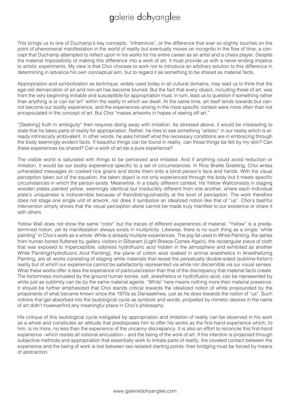This brings us to one of Duchamp's key concepts, "inframince", or the difference that ever so slightly touches on the point of phenomenal manifestation in the world of reality but eventually moves on incognito in the flow of time, a concept that Duchamp attempted to reflect upon in his works for his entire career as an artist and a chess player. Despite the material impossibility of making this difference into a work of art, it must provide us with a never-ending impetus to artistic experiments. My view is that Choi chooses to work not to introduce an arbitrary solution to this difference in determining in advance his own conceptual aim, but to regard it as something to be shared as material facts.

Appropriation and symbolization as technique, widely used today in all cultural domains, may lead us to think that the age-old demarcation of art and non-art has become blurred. But the fact that every object, including those of art, was from the very beginning imitable and susceptible for appropriation must, in turn, lead us to question if something rather than anything is or can be"art" within the reality in which we dwell. At the same time, art itself tends towards but cannot become our bodily experience, and the experiences arising in the most specific context were more often than not encapsulated in the concept of art. But Choi "makes artworks in hopes of seeing off art."

"[Seeking] truth in ambiguity" then requires doing away with imitation. As stressed above, it would be misleading to state that he takes parts of reality for appropriation. Rather, he tries to see something "artistic" in our reality which is already intrinsically ambivalent. In other words, he asks himself what the necessary conditions are in embracing through the body seemingly evident facts. If beautiful things can be found in reality, can those things be felt by my skin? Can these experiences be shared? Can a work of art be a pure experience?

The visible world is saturated with things to be perceived and imitated. And if anything could avoid reduction or imitation, it would be our bodily experience specific to a set of circumstances. In Rice Braille Greeting, Choi writes unheralded messages on cooked rice grains and sticks them onto a blind person's face and hands. With the visual perception taken out of the equation, the taken object is not only experienced through the body but it meets specific circumstances in which the person exists. Meanwhile, in a totally different context, his Yellow Wallconsists in staging wooden plates painted yellow, seemingly identical but irreducibly different from one another, where each individual plate's uniqueness is indiscernible because of theindistinguishability at the level of perception. The work therefore does not stage one single unit of artwork, nor does it symbolize an idealized notion like that of "us". Choi's bashful intervention simply shows that the visual perception alone cannot be made truly manifest to our existence or share it with others.

Yellow Wall does not show the same "color" but the traces of different experiences of material. "Yellow" is a predetermined notion, yet its manifestation always exists in multiplicity. Likewise, there is no such thing as a single "white painting" in Choi's work as a whole. White is already multiple experiences. The pig fat used in White Painting, the ashes from human bones fluttered by gallery visitors in Silbaram (Light Breeze Comes Again), the rectangular piece of cloth that was exposed to imperceptible, odorless hydrofluoric acid hidden in the atmosphere and exhibited as another White Painting (Hydrofluoric Acid Painting), the plane of cotton wool soaked in animal anesthetics in Anesthetizing Painting, are all works consisting of staging white materials that reveal the perpetually double-sided (sublime-forlorn) reality but of which our experience cannot be satisfactorily represented via white nor discernible via our visual senses. What these works offer is less the experience of particularization than that of the discrepancy that material facts create. The forlornness insinuated by the ground human bones, salt, anesthetics or hydrofluoric acid, can be represented by white just as sublimity can be by the same material agents. "White" here means nothing more than material presence. It should be further emphasized that Choi stands critical towards the idealized notion of white propounded by the proponents of what became known since the 1970s as Dansaekhwa, just as he does towards the notion of "us". Such notions that get absorbed into the tautological cycle as symbols and words, propelled by mimetic desires in the name of art didn't howeverfind any meaningful place in Choi's philosophy.

His critique of this tautological cycle instigated by appropriation and imitation of reality can be observed in his work as a whole and constitutes an attitude that predisposes him to offer his works as the first-hand experience which, to him, is no more, no less than the experience of the uncanny discrepancy. It is also an effort to reconcile this first-hand experience –which resists all notional articulation – and the being of the work of art. If the intention is projected through subjective methods and appropriation that essentially work to imitate parts of reality, the coveted contact between the experience and the being of work is lost between two isolated starting points: their bridging must be forced by means of abstraction.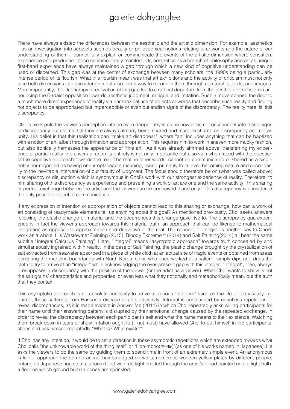There have always existed the differences between the aesthetic and the artistic dimension. For example, aesthetics – as an investigation into subjects such as beauty or philosophical notions relating to artworks and the nature of our understanding of them – cannot fully explain or communicate the events of the artistic dimension where sensation, experience and production become immediately manifest. Or, aesthetics as a branch of philosophy and art as unique first-hand experience have always maintained a gap through which a new kind of cognitive understanding can be used or discerned. This gap was at the center of exchange between many scholars, the 1990s being a particularly intense period of its flourish. What this flourish meant was that art exhibitions and the activity of criticism must not only take both dimensions into consideration but also find a way to reconcile them through curatorship, texts, and images. More importantly, the Duchampian realization of this gap led to a radical departure from the aesthetic dimension in announcing the Dadaist opposition towards aesthetic judgment, critique, and imitation. Such a move opened the door to a much more direct experience of reality via paradoxical use of objects or words that describe such reality and finding not objects to be appropriated but imperceptible or even outlandish signs of the discrepancy. The reality here 'is' this discrepancy.

Choi's work puts the viewer's perception into an even deeper abyss as he now does not only accentuate those signs of discrepancy but claims that they are always already being shared and must be shared as discrepancy and not as unity. His belief is that this realization can "make art disappear", where "art" includes anything that can be baptized with a notion of art, albeit through imitation and appropriation. This requires him to work in aneven more mucky fashion, but also ironically harnesses the appearance of "fine art". As it was already affirmed above, transferring my experience of partial reality into a work of art in its entirety is not only impossible but also vain when faced with the question of the cognitive approach towards the real. The real, in other words, cannot be communicated or shared as a single entity nor regarded as having one irreplaceable meaning, owing primarily to its ever-becoming nature and secondarily to the inevitable intervention of our faculty of judgment. The focus should therefore be on (what was called above) discrepancy or disjunction which is synonymous in Choi's work with our strongest experience of reality. Therefore, to him,sharing of this discrepancy as experience and presenting a work of art are one and the same activity. This sharing or perfect exchange between the artist and the viewer can be conceived if and only if this discrepancy is considered the only possible object of communication.

If any expression of intention or appropriation of objects cannot lead to this sharing or exchange, how can a work of art consisting of readymade elements tell us anything about this goal? As mentioned previously, Choi seeks answers following the plastic change of material and the occurrences this change gave rise to. The discrepancy qua experience is in fact the viewer's approach towards this material truth, an approach that can be likened to mathematical integration as opposed to approximation and derivative of the real. The concept of integral is another key to Choi's work as a whole. His Wastewater Painting (2015), Bloody Excrement (2014) and Salt Painting(2014) all bear the same subtitle "Integral Calculus Painting". Here, "integral" means "asymptotic approach" towards truth concealed by and simultaneously ingrained within reality. In the case of Salt Painting, the plastic change brought by the crystallization of salt extracted from seawater absorbed in a piece of white cloth at an actual site of tragic events or obtained from areas bordering the maritime boundaries with North Korea. Choi, who once worked at a saltern, simply dips and dries the cloth to try to arrive at an "integer" while acknowledging the ever-present gap with this integer. "Integral", then, always presupposes a discrepancy with the position of the viewer (or the artist as a viewer). What Choi wants to show is not the salt grains' characteristics and properties, or even less what they notionally and metaphorically mean, but the truth that they contain.

This asymptotic approach is an absolute necessity to arrive at various "integers" such as the life of the visually impaired, those suffering from Hansen's disease or all biodiversity. Integral is conditioned by countless repetitions to reveal discrepancies, as it is made evident in Answer Me (2011) in which Choi repeatedly asks willing participants for their name until their answering pattern is disrupted by their emotional change caused by the repeated exchange, in order to reveal the discrepancy between each participant's self and what the name means to their existence. Watching them break down in tears or show irritation ought to (if not must) have allowed Choi to put himself in the participants' shoes and ask himself repeatedly "What is? What exists?"

If Choi has any intention, it would be to set a direction in these asymptotic repetitions which are extended towards what Choi calls "the unknowable world of the thing itself" or "Hon-mono(本-物)"(as one of his works named in Japanese). He asks the viewers to do the same by guiding them to spend time in front of an extremely simple event. An anonymous is led to approach the burned animal hair smudged on walls, numerous wooden yellow plates by different people, entangled Japanese hop stems, a room filled with red light emitted through the artist's blood painted onto a light bulb, a floor on which ground human bones are sprinkled.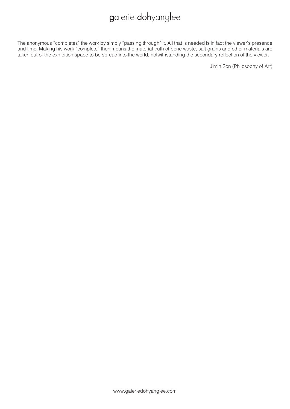The anonymous "completes" the work by simply "passing through" it. All that is needed is in fact the viewer's presence and time. Making his work "complete" then means the material truth of bone waste, salt grains and other materials are taken out of the exhibition space to be spread into the world, notwithstanding the secondary reflection of the viewer.

Jimin Son (Philosophy of Art)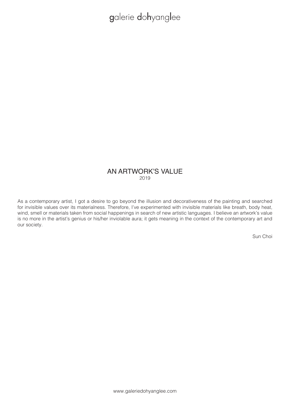#### AN ARTWORK'S VALUE 2019

As a contemporary artist, I got a desire to go beyond the illusion and decorativeness of the painting and searched for invisible values over its materialness. Therefore, I've experimented with invisible materials like breath, body heat, wind, smell or materials taken from social happenings in search of new artistic languages. I believe an artwork's value is no more in the artist's genius or his/her inviolable aura; it gets meaning in the context of the contemporary art and our society.

Sun Choi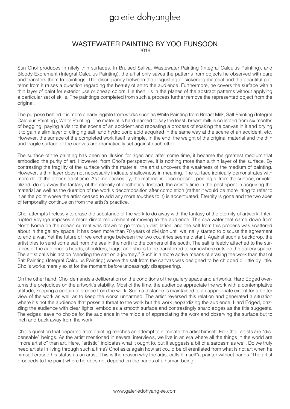### WASTEWATER PAINTING BY YOO EUNSOON

 $2018$ 

Sun Choi produces in nitely thin surfaces. In Bruised Saliva, Wastewater Painting (Integral Calculus Painting), and Bloody Excrement (Integral Calculus Painting), the artist only saves the patterns from objects he observed with care and transfers them to paintings. The discrepancy between the disgusting or sickening material and the beautiful patterns from it raises a question regarding the beauty of art to the audience. Furthermore, he covers the surface with a thin layer of paint for exterior use or cheap colors. He then lls in the planes of the abstract patterns without applying a particular set of skills. The paintings completed from such a process further remove the represented object from the original.

The purpose behind it is more clearly legible from works such as White Painting from Breast Milk, Salt Painting (Integral Calculus Painting), White Painting. The material is hard-earned to say the least; breast milk is collected from six months of begging, paying a visit to the scene of an accident and repeating a process of soaking the canvas in it and drying it to gain a slim layer of clinging salt, and hydro uoric acid acquired in the same way at the scene of an accident, etc. However, the surface of the completed work itself is simple. In the end, the weight of the original material and the thin and fragile surface of the canvas are dramatically set against each other.

The surface of the painting has been an illusion for ages and after some time, it became the greatest medium that embodied the purity of art. However, from Choi's perspective, it is nothing more than a thin layer of the surface. By contrasting the fragility of the surface with the material, the artist uncovers the weakness of the medium of painting. However, a thin layer does not necessarily indicate shallowness in meaning. The surface ironically demonstrates with more depth the other side of time. As time passes by, the material is decomposed, peeling o from the surface, or volatilized, doing away the fantasy of the eternity of aesthetics. Instead, the artist's time in the past spent in acquiring the material as well as the duration of the work's decomposition after completion (rather it would be more tting to refer to it as the point where the artist ceased to add any more touches to it) is accentuated. Eternity is gone and the two axes of temporality continue on from the artist's practice.

Choi attempts tirelessly to erase the substance of the work to do away with the fantasy of the eternity of artwork. Interrupted Voyage imposes a more direct requirement of moving to the audience. The sea water that came down from North Korea on the ocean current was drawn to go through distillation, and the salt from this process was scattered about in the gallery space. It has been more than 70 years of division until we nally started to discuss the agreement to end a war. Yet the future of free exchange between the two countries seems distant. Against such a backdrop, the artist tries to send some salt from the sea in the north to the corners of the south. The salt is feebly attached to the surfaces of the audience's heads, shoulders, bags, and shoes to be transferred to somewhere outside the gallery space. The artist calls his action "sending the salt on a journey." Such is a more active means of erasing the work than that of Salt Painting (Integral Calculus Painting) where the salt from the canvas was designed to be chipped o little by little. Choi's works merely exist for the moment before unceasingly disappearing.

On the other hand, Choi demands a deliberation on the conditions of the gallery space and artworks. Hard Edged overturns the prejudices on the artwork's stability. Most of the time, the audience appreciate the work with a contemplative attitude, keeping a certain di erence from the work. Such a distance is maintained to an appropriate extent for a better view of the work as well as to keep the works unharmed. The artist reversed this relation and generated a situation where it's not the audience that poses a threat to the work but the work jeopardizing the audience. Hard Edged, dazzling the audience with clear lights, embodies a smooth surface and contrastingly sharp edges as the title suggests. The edges leave no choice for the audience in the middle of appreciating the work and observing the surface but to inch and back away from the work.

Choi's question that departed from painting reaches an attempt to eliminate the artist himself. For Choi, artists are "dispensable" beings. As the artist mentioned in several interviews, we live in an era where all the things in the world are "more artistic" than art. Here, "artistic" indicates what it ought to, but it suggests a bit of a sarcasm as well. Do we truly need artists in living through such a time? Choi asks again how art could be di erentiated from what is not art when he himself erased his status as an artist. This is the reason why the artist calls himself"a painter without hands."The artist proceeds to the point where he does not depend on the hands of a human being.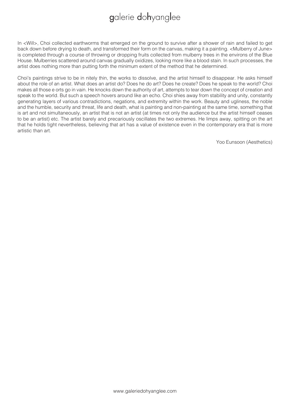In <Will>, Choi collected earthworms that emerged on the ground to survive after a shower of rain and failed to get back down before drying to death, and transformed their form on the canvas, making it a painting. <Mulberry of June> is completed through a course of throwing or dropping fruits collected from mulberry trees in the environs of the Blue House. Mulberries scattered around canvas gradually oxidizes, looking more like a blood stain. In such processes, the artist does nothing more than putting forth the minimum extent of the method that he determined.

Choi's paintings strive to be in nitely thin, the works to dissolve, and the artist himself to disappear. He asks himself about the role of an artist. What does an artist do? Does he do art? Does he create? Does he speak to the world? Choi makes all those e orts go in vain. He knocks down the authority of art, attempts to tear down the concept of creation and speak to the world. But such a speech hovers around like an echo. Choi shies away from stability and unity, constantly generating layers of various contradictions, negations, and extremity within the work. Beauty and ugliness, the noble and the humble, security and threat, life and death, what is painting and non-painting at the same time, something that is art and not simultaneously, an artist that is not an artist (at times not only the audience but the artist himself ceases to be an artist) etc. The artist barely and precariously oscillates the two extremes. He limps away, spitting on the art that he holds tight nevertheless, believing that art has a value of existence even in the contemporary era that is more artistic than art.

Yoo Eunsoon (Aesthetics)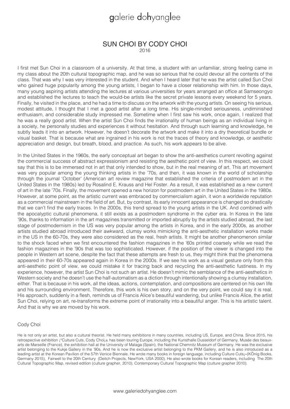#### SUN CHOI BY CODY CHOI 2016

I first met Sun Choi in a classroom of a university. At that time, a student with an unfamiliar, strong feeling came in my class about the 20th cultural topographic map, and he was so serious that he could devour all the contents of the class. That was why I was very interested in the student. And when I heard later that he was the artist called Sun Choi who gained huge popularity among the young artists, I began to have a closer relationship with him. In those days, many young aspiring artists attending the lectures at various universities for years arranged an office at Samseongyo and established the lectures to teach the would-be artists like the secret private lessons every weekend for 5 years. Finally, he visited in the place, and he had a time to discuss on the artwork with the young artists. On seeing his serious, modest attitude, I thought that I met a good artist after a long time. His single-minded seriousness, undiminished enthusiasm, and considerable study impressed me. Sometime when I first saw his work, once again, I realized that he was a really good artist. When the artist Sun Choi finds the irrationality of human beings as an individual living in a society, he personally studies and experiences it without hesitation. And through such learning and knowledge, he subtly leads it into an artwork. However, he doesn't decorate the artwork and make it into a dry theoretical bundle or visual basket. That is because what are ingrained in his work is not the traces of theory and knowledge, or aesthetic appreciation and design, but breath, blood, and practice. As such, his work appears to be alive.

In the United States in the 1960s, the early conceptual art began to show the anti-aesthetics current revolting against the commercial success of abstract expressionism and resisting the aesthetic point of view. In this respect, we could say that this is to be immersed not in art that only intended to show, but in the real meaning of art. This art movement was very popular among the young thinking artists in the '70s, and then, it was known in the world of scholarship through the journal 'October' (American art review magazine that established the criteria of postmodern art in the United States in the 1980s) led by Rosalind E. Krauss and Hel Foster. As a result, it was established as a new current of art in the late '70s. Finally, the movement opened a new horizon for postmodern art in the United States in the 1980s. However, at some point, as the artistic current was embraced by commercialism again, it won a worldwide reputation as a commercial mainstream in the field of art. But, by contrast, its early innocent appearance is changed so drastically that we can't find the early traces. In the 2000s, this trend spread to the young artists in the UK. And combined with the apocalyptic cultural phenomena, it still exists as a postmodern syndrome in the cyber era. In Korea in the late '90s, thanks to information in the art magazines transmitted or imported abruptly by the artists studied abroad, the last stage of postmodernism in the US was very popular among the artists in Korea, and in the early 2000s, as another artists studied abroad introduced their awkward, clumsy works mimicking the anti-aesthetic installation works made in the US in the 60-70s, they were also considered as the real, fresh artists. It might be another phenomenon similar to the shock faced when we first encountered the fashion magazines in the '60s printed coarsely while we read the fashion magazines in the '90s that was too sophisticated. However, if the position of the viewer is changed into the people in Western art scene, despite the fact that these attempts are fresh to us, they might think that the phenomena appeared in their 60-70s appeared again in Korea in the 2000s. If we see his work as a visual gesture only from this anti-aesthetic point of view, we could mistake it for tracing back and recycling the anti-aesthetic fustiness. In my experience, however, the artist Sun Choi is not such an artist. He doesn't mimic the semblance of the anti-aesthetics in Western society and he doesn't use the half-automatism as a diction through intentionally showing a clumsy installation, either. That is because in his work, all the ideas, actions, contemplation, and compositions are centered on his own life and his surrounding environment. Therefore, this work is his own story, and on the very point, we could say it is real. His approach, suddenly in a flesh, reminds us of Francis Alice's beautiful wandering, but unlike Francis Alice, the artist Sun Choi, relying on art, re-transforms the extreme point of irrationality into a beautiful anger. This is his artistic talent. And that is why we are moved by his work.

#### Cody Choi

He is not only an artist, but also a cultural theorist. He held many exhibitions in many countries, including US, Europe, and China. Since 2015, his retrospective exhibition ¡°Culture Cuts, Cody Choi¡± has been touring Europe, including the Kunsthalle Dusseldorf of Germany, Musée des beauxarts de Marseille (France), the exhibition hall at the University of Malaga (Spain), the National Chemnitz Museum of Germany. He was the exclusive artist belonging to the Kukje Gallery in the '90s. And he is now the exclusive artist belonging to the PKM Gallery, and he is also introduced as a leading artist at the Korean Pavilion of the 57th Venice Biennale. He wrote many books in foreign language, including Culture Cuts¡»(KÖnig Books, Germany 2015), Fairwell to the 20th Century (Deitch Projects, NewYork, USA 2000). He also wrote books for Korean readers, including The 20th Cultural Topographic Map, revised edition (culture grapher, 2010), Contemporary Cultural Topographic Map (culture grapher 2010).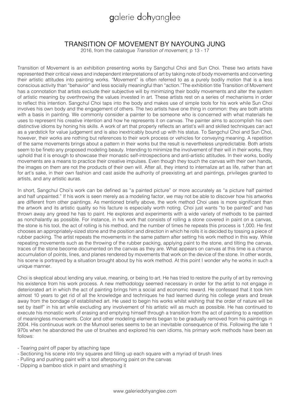### TRANSITION OF MOVEMENT BY NAYOUNG JUNG

2016, from the catalogue Transition of movement, p 13 - 17

Transition of Movement is an exhibition presenting works by Sangchul Choi and Sun Choi. These two artists have represented their critical views and independent interpretations of art by taking note of body movements and converting their artistic attitudes into painting works. "Movement" is often referred to as a purely bodily motion that is a less conscious activity than "behavior" and less socially meaningful than "action."The exhibition title Transition of Movement has a connotation that artists exclude their subjective will by minimizing their bodily movements and alter the system of artistic meaning by overthrowing the values invested in art. These artists rest on a series of mechanisms in order to reflect this intention. Sangchul Choi taps into the body and makes use of simple tools for his work while Sun Choi involves his own body and the engagement of others. The two artists have one thing in common: they are both artists with a basis in painting. We commonly consider a painter to be someone who is concerned with what materials he uses to represent his creative intention and how he represents it on canvas. The painter aims to accomplish his own distinctive idioms by honing his skills. A work of art that properly reflects an artist's will and skilled techniques can act as a yardstick for value judgement and is also inextricably bound up with his status. To Sangchul Choi and Sun Choi, however, their works are nothing but references to their work process or vehicles for conveying meaning. A repetition of the same movements brings about a pattern in their works but the result is nevertheless unpredictable. Both artists seem to be fineto any proposed modeling beauty. Intending to minimize the involvement of their will in their works, they uphold that it is enough to showcase their monastic self-introspections and anti-artistic attitudes. In their works, bodily movements are a means to practice their creative impulses. Even though they touch the canvas with their own hands, the images on them are not the products of their own will. After all, they intend to internalize art as life, rather than art for art's sake, in their own fashion and cast aside the authority of preexisting art and paintings, privileges granted to artists, and any artistic auras.

In short, Sangchul Choi's work can be defined as "a painted picture" or more accurately as "a picture half painted and half unpainted." If his work is seen merely as a modeling factor, we may not be able to discover how his artworks are different from other paintings. As mentioned briefly above, the work method Choi uses is more significant than the artwork and its artistic quality so his facture is especially worth noting. Choi just wants "to be painted" and has thrown away any greed he has to paint. He explores and experiments with a wide variety of methods to be painted as nonchalantly as possible. For instance, in his work that consists of rolling a stone covered in paint on a canvas, the stone is his tool, the act of rolling is his method, and the number of times he repeats this process is 1,000. He first chooses an appropriately-sized stone and the position and direction in which he rolls it is decided by tossing a piece of rubber packing. The artist repeats the movements in the same pattern after setting his work method in this way. While repeating movements such as the throwing of the rubber packing, applying paint to the stone, and tilting the canvas, traces of the stone become documented on the canvas as they are. What appears on canvas at this time is a chance accumulation of points, lines, and planes rendered by movements that work on the device of the stone. In other words, his scene is portrayed by a situation brought about by his work method. At this point I wonder why he works in such a unique manner.

Choi is skeptical about lending any value, meaning, or being to art. He has tried to restore the purity of art by removing his existence from his work process. A new methodology seemed necessary in order for the artist to not engage in deteriorated art in which the act of painting brings him a social and economic reward. He confessed that it took him almost 10 years to get rid of all the knowledge and techniques he had learned during his college years and break away from the bondage of established art. He used to begin his works whilst wishing that the order of nature will be set by itself" in his art while excluding any involvement of his artistic will as much as possible. He has continued to execute his monastic work of erasing and emptying himself through a transition from the act of painting to a repetition of meaningless movements. Color and other modeling elements began to be gradually removed from his paintings in 2004. His continuous work on the Mumool series seems to be an inevitable consequence of this. Following the late 1 970s when he abandoned the use of brushes and explored his own idioms, his primary work methods have been as follows:

- Tearing paint off paper by attaching tape
- Sectioning his scene into tiny squares and filling up each square with a myriad of brush lines
- Pulling and pushing paint with a tool afterpouring paint on the canvas
- Dipping a bamboo stick in paint and smashing it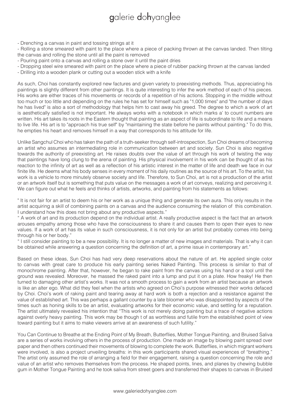- Drenching a canvas in paint and tossing strings at it

- Rolling a stone smeared with paint to the place where a piece of packing thrown at the canvas landed. Then tilting the canvas and rolling the stone until all the paint is removed

- Pouring paint onto a canvas and rolling a stone over it until the paint dries

- Dropping steel wire smeared with paint on the place where a piece of rubber packing thrown at the canvas landed

- Drilling into a wooden plank or cutting out a wooden stick with a knife

As such, Choi has constantly explored new factures and given variety to preexisting methods. Thus, appreciating his paintings is slightly different from other paintings. It is quite interesting to infer the work method of each of his pieces. His works are either traces of his movements or records of a repetition of his actions. Stopping in the middle without too much or too little and depending on the rules he has set for himself such as "1,000 times" and "the number of days he has lived" is also a sort of methodology that helps him to cast away his greed. The degree to which a work of art is aesthetically satisfied is not important. He always works with a notebook in which marks a' to count numbers are written. His art takes its roots in the Eastern thought that painting as an aspect of life is subordinate to life and a means to live life. His art is to "approach his true self" by "maintaining the state before he paints without painting." To do this, he empties his heart and removes himself in a way that corresponds to his attitude for life.

Unlike Sangchul Choi who has taken the path of a truth-seeker through self-introspection, Sun Choi dreams of becoming an artist who assumes an intermediating role in communication between art and society. Sun Choi is also negative towards the authority of preexisting art. He raises doubts over the value of art through his work of twisting the way that paintings have long clung to the arena of painting. His physical involvement in his work can be thought of as his reaction to the infinity of art as well as a reflection of his artistic interest in the matter of life and death we face in our finite life. He deems what his body senses in every moment of his daily routines as the source of his art. To the artist, his work is a vehicle to more minutely observe society and life. Therefore, to Sun Choi, art is not a production of the artist or an artwork itself but is something that puts value on the messages a work of art conveys, realizing and perceiving it. We can figure out what he feels and thinks of artists, artworks, and painting from his statements as follows:

" It is not fair for an artist to deem his or her work as a unique thing and generate its own aura. This only results in the artist acquiring a skill of combining paints on a canvas and the audience consuming the relation of this combination. I understand how this does not bring about any productive aspects."

" A work of art and its production depend on the individual artist. A really productive aspect is the fact that an artwork arouses empathy among those who have the consciousness to share it and causes them to open their eyes to new values. If a work of art has its value in such consciousness, it is not only for an artist but probably comes into being through his or her body."

" I still consider painting to be a new possibility. It is no longer a matter of new images and materials. That is why it can be obtained while answering a question concerning the definition of art, a prime issue in contemporary art."

Based on these ideas, Sun Choi has had very deep reservations about the nature of art. He applied single color to canvas with great care to produce his early painting series Naked Painting. This process is similar to that of monochrome painting. After that, however, he began to rake paint from the canvas using his hand or a tool until the ground was revealed. Moreover, he massed the raked paint into a lump and put it on a plate. How freaky! He then turned to damaging other artist's works. It was not a smooth process to gain a work from an artist because an artwork is like an alter ego. What did they feel when the artists who agreed on Choi's purpose witnessed their works defaced by Choi. Choi's work of raking paint and tearing away at hard work is both a rejection and a resistance against the value of established art. This was perhaps a gallant counter by a late bloomer who was disappointed by aspects of the times such as honing skills to be an artist, evaluating artworks for their economic value, and settling for a reputation. The artist ultimately revealed his intention that "This work is not merely doing painting but a trace of negative actions against overly heavy painting. This work may be though t of as worthless and futile from the established point of view toward painting but it aims to make viewers arrive at an awareness of such futility."

You Can Continue to Breathe at the Ending Point of My Breath, Butterflies, Mother Tongue Painting, and Bruised Saliva are a series of works involving others in the process of production. One made an image by blowing paint spread over paper and then others continued their movements of blowing to complete the work. Butterflies, in which migrant workers were involved, is also a project unveiling breaths: in this work participants shared visual experiences of "breathing." The artist only assumed the role of arranging a field for their engagement, raising a question concerning the role and value of an artist who removes themselves from the process. He shaped points, lines, and planes by chewing bubble gum in Mother Tongue Painting and he took saliva from street goers and transferred their shapes to canvas in Bruised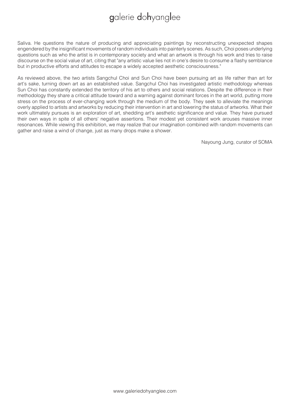Saliva. He questions the nature of producing and appreciating paintings by reconstructing unexpected shapes engendered by the insignificant movements of random individuals into painterly scenes. As such, Choi poses underlying questions such as who the artist is in contemporary society and what an artwork is through his work and tries to raise discourse on the social value of art, citing that "any artistic value lies not in one's desire to consume a flashy semblance but in productive efforts and attitudes to escape a widely accepted aesthetic consciousness."

As reviewed above, the two artists Sangchul Choi and Sun Choi have been pursuing art as life rather than art for art's sake, turning down art as an established value. Sangchul Choi has investigated artistic methodology whereas Sun Choi has constantly extended the territory of his art to others and social relations. Despite the difference in their methodology they share a critical attitude toward and a warning against dominant forces in the art world, putting more stress on the process of ever-changing work through the medium of the body. They seek to alleviate the meanings overly applied to artists and artworks by reducing their intervention in art and lowering the status of artworks. What their work ultimately pursues is an exploration of art, shedding art's aesthetic significance and value. They have pursued their own ways in spite of all others' negative assertions. Their modest yet consistent work arouses massive inner resonances. While viewing this exhibition, we may realize that our imagination combined with random movements can gather and raise a wind of change, just as many drops make a shower.

Nayoung Jung, curator of SOMA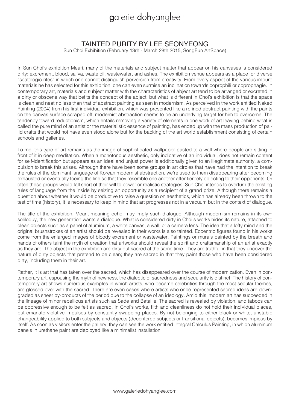### TAINTED PURITY BY LEE SEONYEONG

Sun Choi Exhibition (February 13rh - March 28th 2015, SongEun ArtSpace)

In Sun Choi's exhibition Meari, many of the materials and subject matter that appear on his canvases is considered dirty: excrement, blood, saliva, waste oil, wastewater, and ashes. The exhibition venue appears as a place for diverse "scatologic rites" in which one cannot distinguish perversion from creativity. From every aspect of the various impure materials he has selected for this exhibition, one can even surmise an inclination towards coprophili or coprophagie. In contemporary art, materials and subject matter with the characteristics of abject art tend to be arranged or excreted in a dirty or obscene way that befits the concept of the abject, but what is different in Choi's exhibition is that the space is clean and neat no less than that of abstract painting as seen in modernism. As perceived in the work entitled Naked Painting (2004) from his first individual exhibition, which was presented like a refined abstract painting with the paints on the canvas surface scraped off, modernist abstraction seems to be an underlying target for him to overcome. The tendency toward reductionism, which entails removing a variety of elements in one work of art leaving behind what is called the pure mind of an artist or the materialistic essence of painting, has ended up with the mass production of pallid crafts that would not have even stood alone but for the backing of the art world establishment consisting of certain schools and galleries.

To me, this type of art remains as the image of sophisticated wallpaper pasted to a wall where people are sitting in front of it in deep meditation. When a monotonous aesthetic, only indicative of an individual, does not remain content for self-identification but appears as an ideal and unjust power is additionally given to an illegitimate authority, a compulsion to break this arises. Although there have been some groups in art circles that have had the intention to break the rules of the dominant language of Korean modernist abstraction, we're used to them disappearing after becoming exhausted or eventually toeing the line so that they resemble one another after fiercely objecting to their opponents. Or often these groups would fall short of their will to power or realistic strategies. Sun Choi intends to overturn the existing rules of language from the inside by seizing an opportunity as a recipient of a grand prize. Although there remains a question about whether it would be productive to raise a question on aesthetics, which has already been thrown to the test of time (history), it is necessary to keep in mind that art progresses not in a vacuum but in the context of dialogue.

The title of the exhibition, Meari, meaning echo, may imply such dialogue. Although modernism remains in its own soliloquy, the new generation wants a dialogue. What is considered dirty in Choi's works hides its nature, attached to clean objects such as a panel of aluminum, a white canvas, a wall, or a camera lens. The idea that a lofty mind and the original brushstrokes of an artist should be revealed in their works is also tainted. Eccentric figures found in his works come from the enlarged images of bloody excrement or wastewater. Paintings or murals painted by the breath and hands of others taint the myth of creation that artworks should reveal the spirit and craftsmanship of an artist exactly as they are. The abject in the exhibition are dirty but sacred at the same time. They are truthful in that they uncover the nature of dirty objects that pretend to be clean; they are sacred in that they paint those who have been considered dirty, including them in their art.

Rather, it is art that has taken over the sacred, which has disappeared over the course of modernization. Even in contemporary art, espousing the myth of newness, the dialectic of sacredness and secularity is distinct. The history of contemporary art shows numerous examples in which artists, who became celebrities through the most secular themes, are glossed over with the sacred. There are even cases where artists who once represented sacred ideas are downgraded as sheer by-products of the period due to the collapse of an ideology. Amid this, modern art has succeeded in the lineage of minor rebellious artists such as Sade and Bataille. The sacred is revealed by violation, and taboos can be oppressive enough to be felt as sacred. In Choi's works, filth and cleanliness do not hold their individual places, but emanate violative impulses by constantly swapping places. By not belonging to either black or white, unstable changeability applied to both subjects and objects (decentered subjects or transitional objects), becomes impious by itself. As soon as visitors enter the gallery, they can see the work entitled Integral Calculus Painting, in which aluminum panels in urethane paint are deployed like a minimalist installation.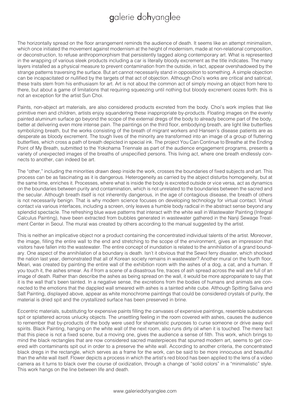The horizontally spread on the floor arrangement reminds the audience of death. It seems like an attempt minimalism, which once initiated the movement against modernism at the height of modernism, made at non-relational composition, or deconstruction, to refuse anthropomorphism that persistently tagged along contemporary art. What is represented in the wrapping of various sleek products including a car is literally bloody excrement as the title indicates. The many layers installed as a physical measure to prevent contamination from the outside, in fact, appear overshadowed by the strange patterns traversing the surface. But art cannot necessarily stand in opposition to something. A simple objection can be incapacitated or nullified by the targets of that act of objection. Although Choi's works are critical and satirical, these traits stem from his enthusiasm for art. Art is not about the common act of simply moving an object from here to there, but about a game of limitations that requiring squeezing until nothing but bloody excrement oozes forth: this is not an exception for the artist Sun Choi.

Paints, non-abject art materials, are also considered products excreted from the body. Choi's work implies that like primitive men and children, artists enjoy squandering these inappropriate by-products. Floating images on the evenly painted aluminum surface go beyond the scope of the external dregs of the body to already become part of the body, better at delivering even more intense pain. The paintings on the third floor, embodying breath, are light like butterflies symbolizing breath, but the works consisting of the breath of migrant workers and Hansen's disease patients are as desperate as bloody excrement. The tough lives of the minority are transformed into an image of a group of fluttering butterflies, which cross a path of breath depicted in special ink. The project You Can Continue to Breathe at the Ending Point of My Breath, submitted to the Yokohama Triennale as part of the audience engagement programs, presents a variety of unexpected images of the breaths of unspecified persons. This living act, where one breath endlessly connects to another, can indeed be art.

The "other," including the minorities drawn deep inside the work, crosses the boundaries of fixed subjects and art. This process can be as fascinating as it is dangerous. Heterogeneity as carried by the abject disturbs homogeneity, but at the same time, enriches it. Processes, where what is inside the body is excreted outside or vice versa, act as dynamics on the boundaries between purity and contamination, which is not unrelated to the boundaries between the sacred and the secular. Although breath itself is not inherently dangerous, in the age of contagious disease, the breath of others is not necessarily benign. That is why modern science focuses on developing technology for virtual contact. Virtual contact via various interfaces, including a screen, only leaves a humble body radical in the abstract sense beyond any splendid spectacle. The refreshing blue wave patterns that interact with the white wall in Wastewater Painting (Integral Calculus Painting), have been extracted from bubbles generated in wastewater gathered in the Nanji Sewage Treatment Center in Seoul. The mural was created by others according to the manual suggested by the artist.

This is neither an implicative object nor a product containing the concentrated individual talents of the artist. Moreover, the image, filling the entire wall to the end and stretching to the scope of the environment, gives an impression that visitors have fallen into the wastewater. The entire concept of inundation is related to the annihilation of a grand boundary. One aspect of the annihilation of a boundary is death. Isn't it obvious that the Sewol ferry disaster, which shocked the nation last year, demonstrated that all of Korean society remains in wastewater? Another mural on the fourth floor, Meari, was created by painting the entire wall of the exhibition room with the ashes of a dog, a cat, and a human. If you touch it, the ashes smear. As if from a scene of a disastrous fire, traces of ash spread across the wall are full of an image of death. Rather than describe the ashes as being spread on the wall, it would be more appropariate to say that it is the wall that's been tainted. In a negative sense, the excretions from the bodies of humans and animals are connected to the emotions that the dappled wall smeared with ashes is a tainted white cube. Although Spitting Saliva and Salt Painting, displayed above, appear as white monochrome paintings that could be considered crystals of purity, the material is dried spit and the crystallized surface has been preserved in brine.

Eccentric materials, substituting for expensive paints filling the canvases of expensive paintings, resemble substances spit or splattered across unlucky objects. The unsettling feeling in the room covered with ashes, causes the audience to remember that by-products of the body were used for shamanistic purposes to curse someone or drive away evil spirits. Black Painting, hanging on the white wall of the next room, also runs dirty oil when it is touched. The mere fact that this piece is not a fixed scene, but a moving one, gives the audience a sense of filth. This work, which brings to mind the black rectangles that are now considered sacred masterpieces that spurred modern art, seems to get covered with contaminants spit out in order to a preserve the white wall. According to another criteria, the concentrated black dregs in the rectangle, which serves as a frame for the work, can be said to be more innocuous and beautiful than the white wall itself. Flower depicts a process in which the artist's red blood has been applied to the lens of a video camera as it turns to black over the course of oxidization, through a change of "solid colors" in a "minimalistic" style. This work hangs on the line between life and death.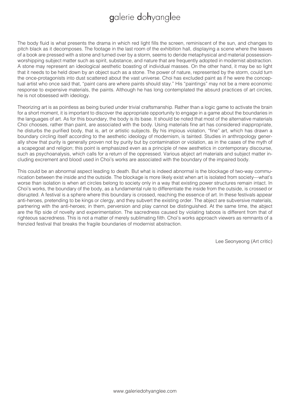The body fluid is what presents the drama in which red light fills the screen, reminiscent of the sun, and changes to pitch black as it decomposes. The footage in the last room of the exhibition hall, displaying a scene where the leaves of a book are pressed with a stone and turned over by a storm, seems to deride metaphysical and material possessionworshipping subject matter such as spirit, substance, and nature that are frequently adopted in modernist abstraction. A stone may represent an ideological aesthetic boasting of individual masses. On the other hand, it may be so light that it needs to be held down by an object such as a stone. The power of nature, represented by the storm, could turn the once-protagonists into dust scattered about the vast universe. Choi has excluded paint as if he were the conceptual artist who once said that, "paint cans are where paints should stay." His "paintings" may not be a mere economic response to expensive materials, the paints. Although he has long contemplated the absurd practices of art circles, he is not obsessed with ideology.

Theorizing art is as pointless as being buried under trivial craftsmanship. Rather than a logic game to activate the brain for a short moment, it is important to discover the appropriate opportunity to engage in a game about the boundaries in the languages of art. As for this boundary, the body is its base. It should be noted that most of the alternative materials Choi chooses, rather than paint, are associated with the body. Using materials fine art has considered inappropriate, he disturbs the purified body, that is, art or artistic subjects. By his impious violation, "fine" art, which has drawn a boundary circling itself according to the aesthetic ideology of modernism, is tainted. Studies in anthropology generally show that purity is generally proven not by purity but by contamination or violation, as in the cases of the myth of a scapegoat and religion; this point is emphasized even as a principle of new aesthetics in contemporary discourse, such as psychoanalysis, which calls for a return of the oppressed. Various abject art materials and subject matter including excrement and blood used in Choi's works are associated with the boundary of the impaired body.

This could be an abnormal aspect leading to death. But what is indeed abnormal is the blockage of two-way communication between the inside and the outside. The blockage is more likely exist when art is isolated from society—what's worse than isolation is when art circles belong to society only in a way that existing power structures remain intact. In Choi's works, the boundary of the body, as a fundamental rule to differentiate the inside from the outside, is crossed or disrupted. A festival is a sphere where this boundary is crossed, reaching the essence of art. In these festivals appear anti-heroes, pretending to be kings or clergy, and they subvert the existing order. The abject are subversive materials, partnering with the anti-heroes; in them, perversion and play cannot be distinguished. At the same time, the abject are the flip side of novelty and experimentation. The sacredness caused by violating taboos is different from that of righteous sacredness. This is not a matter of merely sublimating filth. Choi's works approach viewers as remnants of a frenzied festival that breaks the fragile boundaries of modernist abstraction.

Lee Seonyeong (Art critic)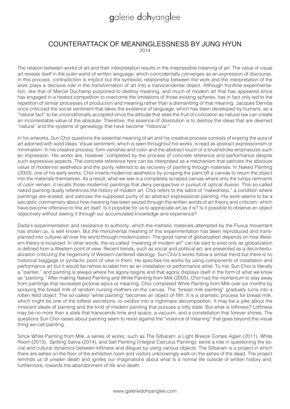# COUNTERATTACK OF MEANINGLESSNESS BY JUNG HYUN

 $2014$ 

The relation between works of art and their interpretation results in the irrepressible meaning of art. The value of visual art reveals itself in the outer world of written language, which coincidentally converges as an expression of discourse. In this process, contradiction is implicit but the symbiotic relationship between the work and the interpretation of the work plays a decisive role in the transformation of art into a transcendental object. Although frontline experimentation, like that of Marcel Duchamp purported to destroy meaning, and much of modern art that has appeared since has engaged in a heated competition to overcome the limitations of those existing spheres, has in fact only led to the repetition of similar processes of production and meaning rather than a dismantling of that meaning. Jacques Derrida once criticized the social sentiment that takes the existence of language, which has been developed by humans, as a "natural fact" to be unconditionally accepted since the attitude that sees the fruit of civilization as natural law can create an incontestable value of the absolute. Therefore, the essence of dissolution is to destroy the ideas that are deemed "natural" and the systems of genealogy that have become "historical."

In his artworks, Sun Choi questions the essential meaning of art and his creative process consists of erasing the aura of art adorned with solid ideas. Visual sentiment, which is seen throughout his works, is read as abstract expressionism or minimalism. In his creative process, form vanishes and color and the abstract touch of a brushstroke emphasizes such an impression. His works are, however, completed by the process of concrete reference and performance despite such expressive aspects. The concrete reference here can be interpreted as a mechanism that satirizes the absolute value of modernist aesthetics and the purity referred to as recovery of painting through materials. In Naked Painting (2003), one of his early works, Choi inverts modernist aesthetics by scraping the paint off a canvas to return the object into the materials themselves. As a result, what we see is a completely scraped canvas where only the lumpy remnants of color remain; it recalls those modernist paintings that deny perspective in pursuit of optical illusion. This so-called naked painting dually references the history of modern art. Choi refers to the satire of "nakedness," a condition where paintings are erased, and satirizes the supposed purity of an abstract expressionist painting. His work seems to be a sarcastic commentary about how meaning has been seized through the written words of art theory and criticism, which have become offensive to fine art itself. Is it possible for us to appreciate art as it is? Is it possible to observe an object objectively without seeing it through our accumulated knowledge and experience?

Dada's experimentation and resistance to authority, which the inartistic materials attempted by the Fluxus movement has shown us, is well known. But the monumental meaning of this experimentation has been reproduced and transplanted into cultures all over the world through modernization. The good name of globalization depends on how Western theory is localized. In other words, the so-called "meaning of modern art" can be said to exist only as globalization is defined from a Western point of view. Recent trends, such as social and political art, are presented as a decontextualization criticizing the hegemony of Western-centered ideology. Sun Choi's works follow a similar trend but there is no historical baggage or syntactic point of view in them. He specifies his works by using components of installation and performance art but it would be remiss to label him as an installation or performance artist. To me, Sun Choi is literally a "painter," and painting is always where his agony begins and that agony displays itself in the form of what we know as "painting." After making Naked Painting and White Painting from Milk (2005), Choi had the momentum to stay away from paintings that recreated pictorial epics or meaning. Choi completed White Painting from Milk over six months by spraying the breast milk of random nursing mothers on the canvas. The "breast milk painting" gradually turns into a rotten fetid object. The so-called "white painting" becomes an object of filth. It is a dramatic process for breast milk, which might be one of the loftiest secretions, to oxidize into a nightmare decomposition. It may be a joke about the innocent ideals of painting and the kind of modern painting that pursues a lofty state. But what is loftiness? Loftiness may be no more than a state that transcends time and space, a vacuum, and a constellation that forever shines. The questions Sun Choi raises about painting seem to resist against the "violence of meaning" that goes beyond the visual thing we call painting.

Since White Painting from Milk, a series of works, such as The Silbaram: a Light Breeze Comes Again (2011), White Room (2013), Spitting Saliva (2014), and Salt Painting (Integral Calculus Painting), serve a role in questioning the social and cultural dynamics between loftiness and disgust by using various objects. The Silbaram is a project in which there are ashes on the floor of the exhibition room and visitors unknowingly walk on the ashes of the dead. The project reminds us of unseen death and ignites our imaginations about what is a normal life outside of written history and, furthermore, towards the abandonment of life and death.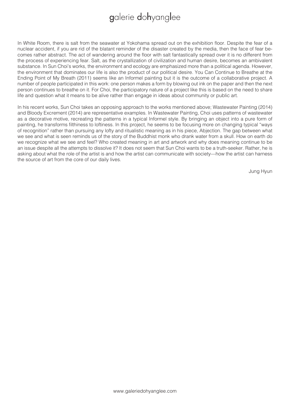In White Room, there is salt from the seawater at Yokohama spread out on the exhibition floor. Despite the fear of a nuclear accident, if you are rid of the blatant reminder of the disaster created by the media, then the face of fear becomes rather abstract. The act of wandering around the floor with salt fantastically spread over it is no different from the process of experiencing fear. Salt, as the crystallization of civilization and human desire, becomes an ambivalent substance. In Sun Choi's works, the environment and ecology are emphasized more than a political agenda. However, the environment that dominates our life is also the product of our political desire. You Can Continue to Breathe at the Ending Point of My Breath (2011) seems like an Informel painting but it is the outcome of a collaborative project. A number of people participated in this work: one person makes a form by blowing out ink on the paper and then the next person continues to breathe on it. For Choi, the participatory nature of a project like this is based on the need to share life and question what it means to be alive rather than engage in ideas about community or public art.

In his recent works, Sun Choi takes an opposing approach to the works mentioned above; Wastewater Painting (2014) and Bloody Excrement (2014) are representative examples. In Wastewater Painting, Choi uses patterns of wastewater as a decorative motive, recreating the patterns in a typical Informel style. By bringing an object into a pure form of painting, he transforms filthiness to loftiness. In this project, he seems to be focusing more on changing typical "ways of recognition" rather than pursuing any lofty and ritualistic meaning as in his piece, Abjection. The gap between what we see and what is seen reminds us of the story of the Buddhist monk who drank water from a skull. How on earth do we recognize what we see and feel? Who created meaning in art and artwork and why does meaning continue to be an issue despite all the attempts to dissolve it? It does not seem that Sun Choi wants to be a truth-seeker. Rather, he is asking about what the role of the artist is and how the artist can communicate with society—how the artist can harness the source of art from the core of our daily lives.

Jung Hyun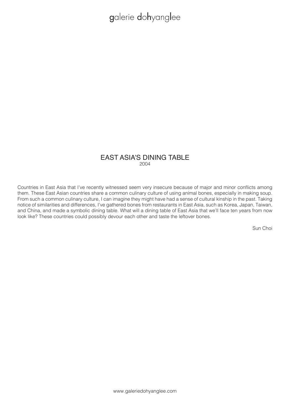#### EAST ASIA'S DINING TABLE 2004

Countries in East Asia that I've recently witnessed seem very insecure because of major and minor conflicts among them. These East Asian countries share a common culinary culture of using animal bones, especially in making soup. From such a common culinary culture, I can imagine they might have had a sense of cultural kinship in the past. Taking notice of similarities and differences, I've gathered bones from restaurants in East Asia, such as Korea, Japan, Taiwan, and China, and made a symbolic dining table. What will a dining table of East Asia that we'll face ten years from now look like? These countries could possibly devour each other and taste the leftover bones.

Sun Choi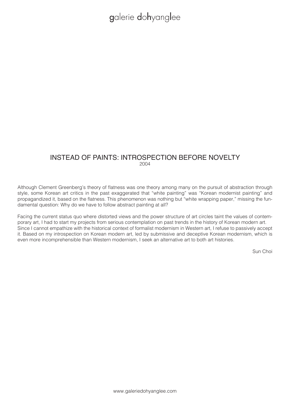#### INSTEAD OF PAINTS: INTROSPECTION BEFORE NOVELTY 2004

Although Clement Greenberg's theory of flatness was one theory among many on the pursuit of abstraction through style, some Korean art critics in the past exaggerated that "white painting" was "Korean modernist painting" and propagandized it, based on the flatness. This phenomenon was nothing but "white wrapping paper," missing the fundamental question: Why do we have to follow abstract painting at all?

Facing the current status quo where distorted views and the power structure of art circles taint the values of contemporary art, I had to start my projects from serious contemplation on past trends in the history of Korean modern art. Since I cannot empathize with the historical context of formalist modernism in Western art, I refuse to passively accept it. Based on my introspection on Korean modern art, led by submissive and deceptive Korean modernism, which is even more incomprehensible than Western modernism, I seek an alternative art to both art histories.

Sun Choi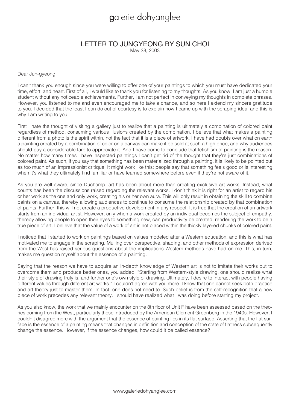### LETTER TO JUNGYEONG BY SUN CHOI

May 28, 2003

Dear Jun-gyeong,

I can't thank you enough since you were willing to offer one of your paintings to which you must have dedicated your time, effort, and heart. First of all, I would like to thank you for listening to my thoughts. As you know, I am just a humble student without any noticeable achievements. Further, I am not perfect in conveying my thoughts in complete phrases. However, you listened to me and even encouraged me to take a chance, and so here I extend my sincere gratitude to you. I decided that the least I can do out of courtesy is to explain how I came up with the scraping idea, and this is why I am writing to you.

First I hate the thought of visiting a gallery just to realize that a painting is ultimately a combination of colored paint regardless of method, consuming various illusions created by the combination. I believe that what makes a painting different from a photo is the spirit within, not the fact that it is a piece of artwork. I have had doubts over what on earth a painting created by a combination of color on a canvas can make it be sold at such a high price, and why audiences should pay a considerable fare to appreciate it. And I have come to conclude that fetishism of painting is the reason. No matter how many times I have inspected paintings I can't get rid of the thought that they're just combinations of colored paint. As such, if you say that something has been materialized through a painting, it is likely to be pointed out as too much of an impressionist critique. It might work like this: people say that something feels good or is interesting when it's what they ultimately find familiar or have learned somewhere before even if they're not aware of it.

As you are well aware, since Duchamp, art has been about more than creating exclusive art works. Instead, what counts has been the discussions raised regarding the relevant works. I don't think it is right for an artist to regard his or her work as the one and only work, creating his or her own aura. This will only result in obtaining the skill to combine paints on a canvas, thereby allowing audiences to continue to consume the relationship created by that combination of paints. Further, this will not create a productive development in any respect. It is true that the creation of an artwork starts from an individual artist. However, only when a work created by an individual becomes the subject of empathy, thereby allowing people to open their eyes to something new, can productivity be created, rendering the work to be a true piece of art. I believe that the value of a work of art is not placed within the thickly layered chunks of colored paint.

I noticed that I started to work on paintings based on values modeled after a Western education, and this is what has motivated me to engage in the scraping. Mulling over perspective, shading, and other methods of expression derived from the West has raised serious questions about the implications Western methods have had on me. This, in turn, makes me question myself about the essence of a painting.

Saying that the reason we have to acquire an in-depth knowledge of Western art is not to imitate their works but to overcome them and produce better ones, you added: "Starting from Western-style drawing, one should realize what their style of drawing truly is, and further one's own style of drawing. Ultimately, I desire to interact with people having different values through different art works." I couldn't agree with you more. I know that one cannot seek both practice and art theory just to master them. In fact, one does not need to. Such belief is from the self-recognition that a new piece of work precedes any relevant theory. I should have realized what I was doing before starting my project.

As you also know, the work that we mainly encounter on the 8th floor of Unit F have been assessed based on the theories coming from the West, particularly those introduced by the American Clement Greenberg in the 1940s. However, I couldn't disagree more with the argument that the essence of painting lies in its flat surface. Asserting that the flat surface is the essence of a painting means that changes in definition and conception of the state of flatness subsequently change the essence. However, if the essence changes, how could it be called essence?